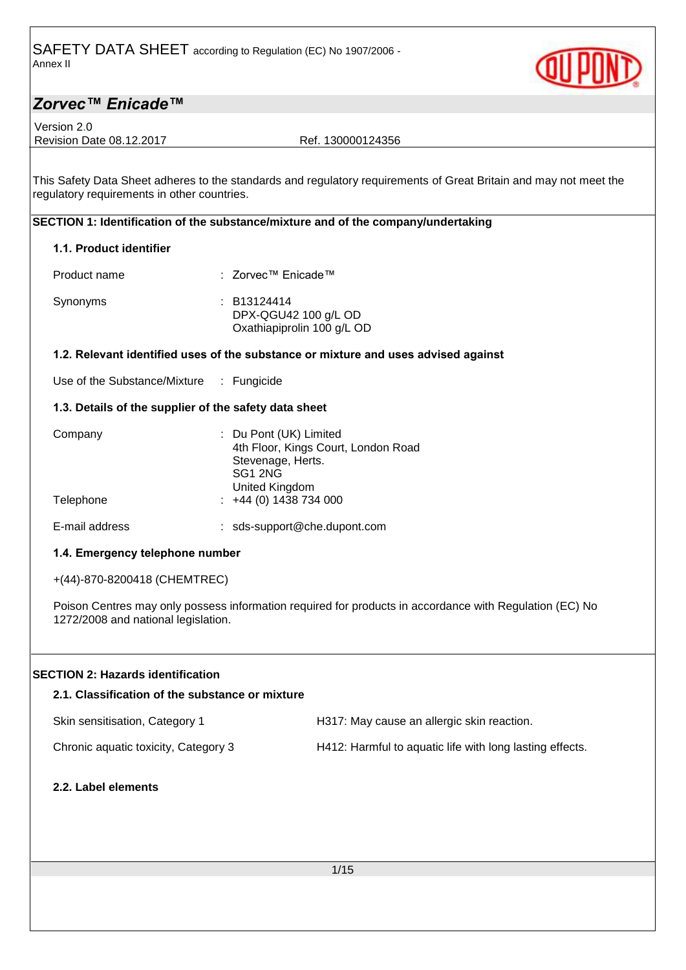

Version 2.0 Revision Date 08.12.2017 Ref. 130000124356

This Safety Data Sheet adheres to the standards and regulatory requirements of Great Britain and may not meet the regulatory requirements in other countries.

### **SECTION 1: Identification of the substance/mixture and of the company/undertaking**

### **1.1. Product identifier**

| Product name | : Zorvec™ Enicade™                                                |
|--------------|-------------------------------------------------------------------|
| Synonyms     | : B13124414<br>DPX-QGU42 100 g/L OD<br>Oxathiapiprolin 100 g/L OD |

#### **1.2. Relevant identified uses of the substance or mixture and uses advised against**

Use of the Substance/Mixture : Fungicide

#### **1.3. Details of the supplier of the safety data sheet**

| Company   | : Du Pont (UK) Limited<br>4th Floor, Kings Court, London Road |
|-----------|---------------------------------------------------------------|
|           | Stevenage, Herts.                                             |
|           | SG1 2NG                                                       |
|           | United Kingdom                                                |
| Telephone | $\div$ +44 (0) 1438 734 000                                   |
|           |                                                               |

E-mail address : sds-support@che.dupont.com

#### **1.4. Emergency telephone number**

+(44)-870-8200418 (CHEMTREC)

Poison Centres may only possess information required for products in accordance with Regulation (EC) No 1272/2008 and national legislation.

### **SECTION 2: Hazards identification**

# **2.1. Classification of the substance or mixture**

| Skin sensitisation, Category 1 | H317: May cause an allergic skin reaction. |
|--------------------------------|--------------------------------------------|
|                                |                                            |

Chronic aquatic toxicity, Category 3 H412: Harmful to aquatic life with long lasting effects.

**2.2. Label elements**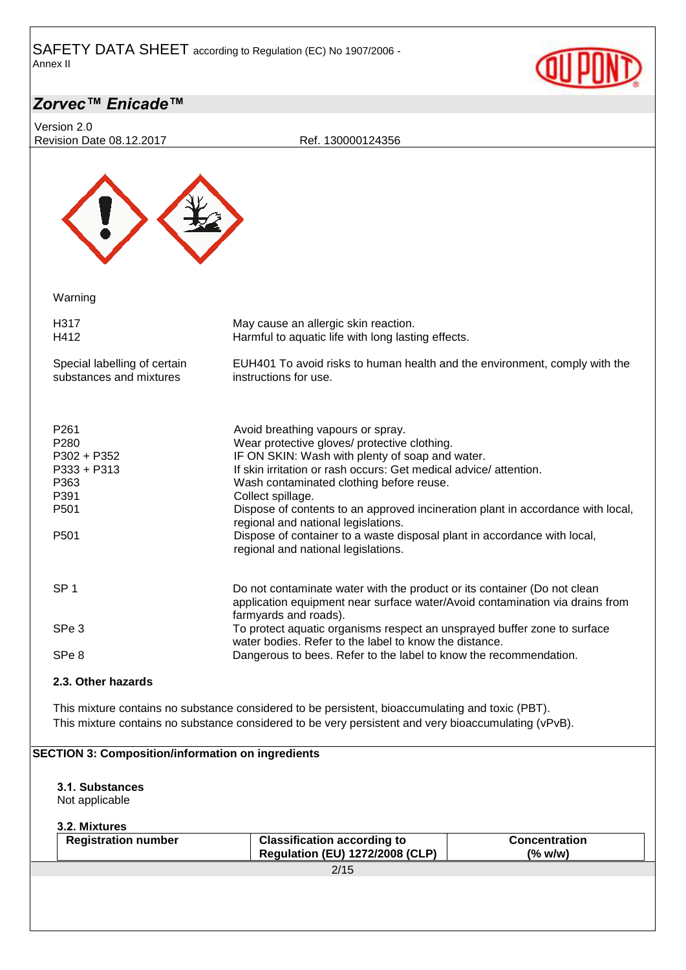

| Version 2.0<br>Revision Date 08.12.2017                                                       | Ref. 130000124356                                                                                                                                                                                                                                                                                                                                                                                                                                                                                                      |                                 |
|-----------------------------------------------------------------------------------------------|------------------------------------------------------------------------------------------------------------------------------------------------------------------------------------------------------------------------------------------------------------------------------------------------------------------------------------------------------------------------------------------------------------------------------------------------------------------------------------------------------------------------|---------------------------------|
|                                                                                               |                                                                                                                                                                                                                                                                                                                                                                                                                                                                                                                        |                                 |
| Warning                                                                                       |                                                                                                                                                                                                                                                                                                                                                                                                                                                                                                                        |                                 |
| H317<br>H412                                                                                  | May cause an allergic skin reaction.<br>Harmful to aquatic life with long lasting effects.                                                                                                                                                                                                                                                                                                                                                                                                                             |                                 |
| Special labelling of certain<br>substances and mixtures                                       | EUH401 To avoid risks to human health and the environment, comply with the<br>instructions for use.                                                                                                                                                                                                                                                                                                                                                                                                                    |                                 |
| P <sub>261</sub><br>P280<br>P302 + P352<br>P333 + P313<br>P363<br>P391<br>P501<br>P501        | Avoid breathing vapours or spray.<br>Wear protective gloves/ protective clothing.<br>IF ON SKIN: Wash with plenty of soap and water.<br>If skin irritation or rash occurs: Get medical advice/attention.<br>Wash contaminated clothing before reuse.<br>Collect spillage.<br>Dispose of contents to an approved incineration plant in accordance with local,<br>regional and national legislations.<br>Dispose of container to a waste disposal plant in accordance with local,<br>regional and national legislations. |                                 |
| SP <sub>1</sub><br>SPe <sub>3</sub>                                                           | Do not contaminate water with the product or its container (Do not clean<br>application equipment near surface water/Avoid contamination via drains from<br>farmyards and roads).<br>To protect aquatic organisms respect an unsprayed buffer zone to surface                                                                                                                                                                                                                                                          |                                 |
| SPe <sub>8</sub>                                                                              | water bodies. Refer to the label to know the distance.<br>Dangerous to bees. Refer to the label to know the recommendation.                                                                                                                                                                                                                                                                                                                                                                                            |                                 |
| 2.3. Other hazards                                                                            |                                                                                                                                                                                                                                                                                                                                                                                                                                                                                                                        |                                 |
|                                                                                               | This mixture contains no substance considered to be persistent, bioaccumulating and toxic (PBT).<br>This mixture contains no substance considered to be very persistent and very bioaccumulating (vPvB).                                                                                                                                                                                                                                                                                                               |                                 |
| <b>SECTION 3: Composition/information on ingredients</b><br>3.1. Substances<br>Not applicable |                                                                                                                                                                                                                                                                                                                                                                                                                                                                                                                        |                                 |
| 3.2. Mixtures<br><b>Registration number</b>                                                   | <b>Classification according to</b><br><b>Regulation (EU) 1272/2008 (CLP)</b>                                                                                                                                                                                                                                                                                                                                                                                                                                           | <b>Concentration</b><br>(% w/w) |
|                                                                                               | 2/15                                                                                                                                                                                                                                                                                                                                                                                                                                                                                                                   |                                 |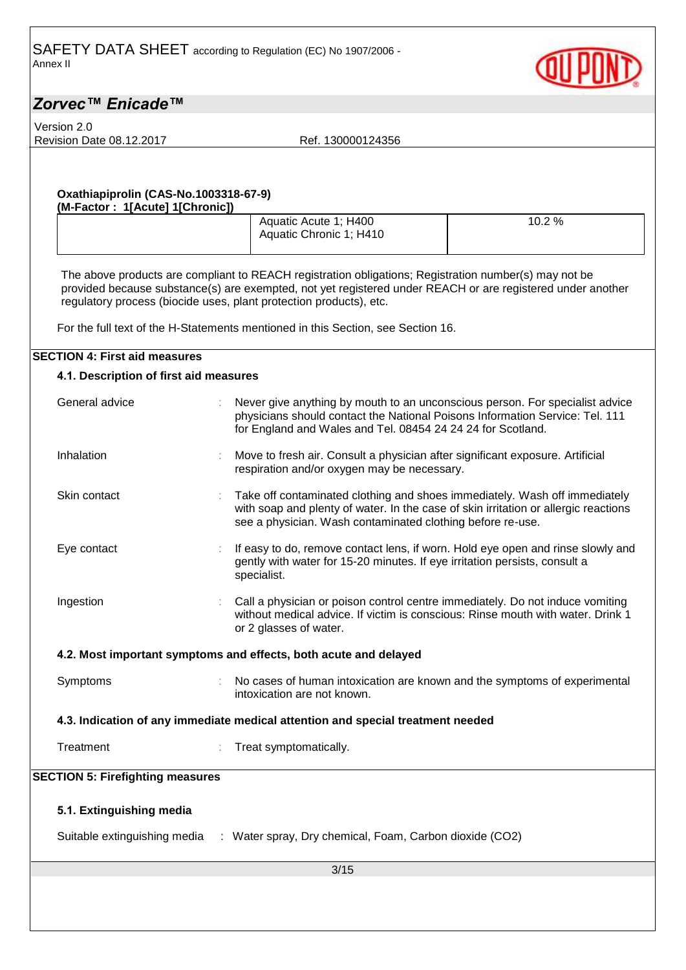Version 2.0

Revision Date 08.12.2017 Ref. 130000124356

#### **Oxathiapiprolin (CAS-No.1003318-67-9) (M-Factor : 1[Acute] 1[Chronic])**

| Aquatic Acute 1; H400<br>Aquatic Chronic 1; H410 | 10.2 % |
|--------------------------------------------------|--------|
|--------------------------------------------------|--------|

The above products are compliant to REACH registration obligations; Registration number(s) may not be provided because substance(s) are exempted, not yet registered under REACH or are registered under another regulatory process (biocide uses, plant protection products), etc.

For the full text of the H-Statements mentioned in this Section, see Section 16.

#### **SECTION 4: First aid measures**

## 3/15 **4.1. Description of first aid measures** General advice : Never give anything by mouth to an unconscious person. For specialist advice physicians should contact the National Poisons Information Service: Tel. 111 for England and Wales and Tel. 08454 24 24 24 for Scotland. Inhalation : Move to fresh air. Consult a physician after significant exposure. Artificial respiration and/or oxygen may be necessary. Skin contact **in the Contaminated clothing and shoes immediately.** Wash off immediately with soap and plenty of water. In the case of skin irritation or allergic reactions see a physician. Wash contaminated clothing before re-use. Eye contact **in the state of the state of the state of the state of the state of the state of the state of the state of the state of the state of the state of the state of the state of the state of the state of the state o** gently with water for 15-20 minutes. If eye irritation persists, consult a specialist. Ingestion : Call a physician or poison control centre immediately. Do not induce vomiting without medical advice. If victim is conscious: Rinse mouth with water. Drink 1 or 2 glasses of water. **4.2. Most important symptoms and effects, both acute and delayed** Symptoms : No cases of human intoxication are known and the symptoms of experimental intoxication are not known. **4.3. Indication of any immediate medical attention and special treatment needed** Treatment **in the Community Community** Treat symptomatically. **SECTION 5: Firefighting measures 5.1. Extinguishing media** Suitable extinguishing media : Water spray, Dry chemical, Foam, Carbon dioxide (CO2)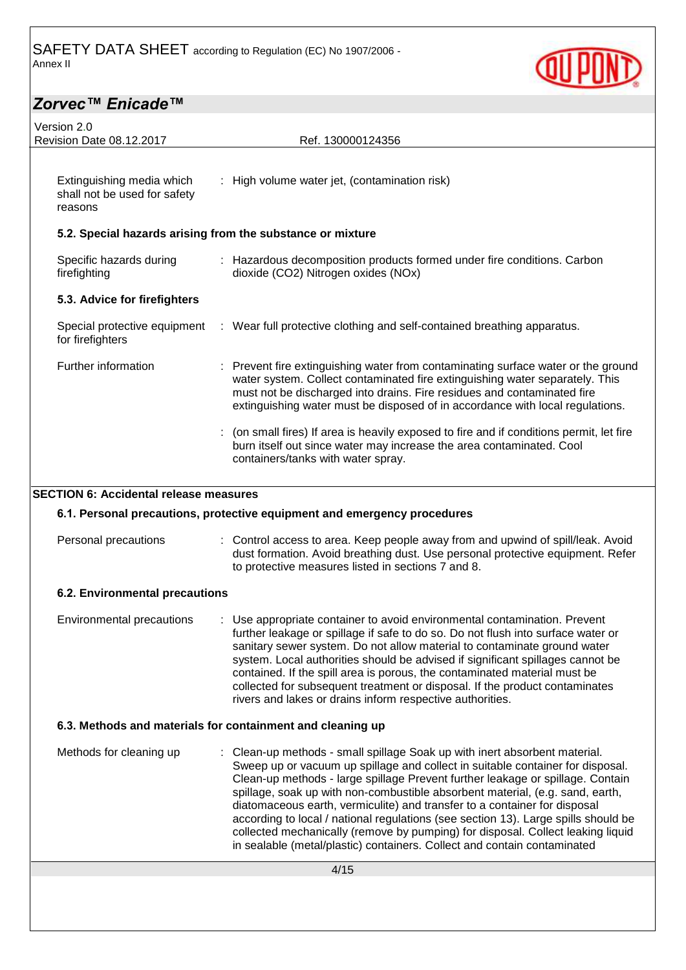

| Version 2.0<br>Revision Date 08.12.2017                              | Ref. 130000124356                                                                                                                                                                                                                                                                                                                                                                                                                                                                                                                                                                                                                                                 |
|----------------------------------------------------------------------|-------------------------------------------------------------------------------------------------------------------------------------------------------------------------------------------------------------------------------------------------------------------------------------------------------------------------------------------------------------------------------------------------------------------------------------------------------------------------------------------------------------------------------------------------------------------------------------------------------------------------------------------------------------------|
|                                                                      |                                                                                                                                                                                                                                                                                                                                                                                                                                                                                                                                                                                                                                                                   |
| Extinguishing media which<br>shall not be used for safety<br>reasons | : High volume water jet, (contamination risk)                                                                                                                                                                                                                                                                                                                                                                                                                                                                                                                                                                                                                     |
|                                                                      | 5.2. Special hazards arising from the substance or mixture                                                                                                                                                                                                                                                                                                                                                                                                                                                                                                                                                                                                        |
| Specific hazards during<br>firefighting                              | : Hazardous decomposition products formed under fire conditions. Carbon<br>dioxide (CO2) Nitrogen oxides (NOx)                                                                                                                                                                                                                                                                                                                                                                                                                                                                                                                                                    |
| 5.3. Advice for firefighters                                         |                                                                                                                                                                                                                                                                                                                                                                                                                                                                                                                                                                                                                                                                   |
| Special protective equipment<br>for firefighters                     | : Wear full protective clothing and self-contained breathing apparatus.                                                                                                                                                                                                                                                                                                                                                                                                                                                                                                                                                                                           |
| Further information                                                  | Prevent fire extinguishing water from contaminating surface water or the ground<br>water system. Collect contaminated fire extinguishing water separately. This<br>must not be discharged into drains. Fire residues and contaminated fire<br>extinguishing water must be disposed of in accordance with local regulations.                                                                                                                                                                                                                                                                                                                                       |
|                                                                      | : (on small fires) If area is heavily exposed to fire and if conditions permit, let fire<br>burn itself out since water may increase the area contaminated. Cool<br>containers/tanks with water spray.                                                                                                                                                                                                                                                                                                                                                                                                                                                            |
| <b>SECTION 6: Accidental release measures</b>                        |                                                                                                                                                                                                                                                                                                                                                                                                                                                                                                                                                                                                                                                                   |
|                                                                      | 6.1. Personal precautions, protective equipment and emergency procedures                                                                                                                                                                                                                                                                                                                                                                                                                                                                                                                                                                                          |
| Personal precautions                                                 | : Control access to area. Keep people away from and upwind of spill/leak. Avoid<br>dust formation. Avoid breathing dust. Use personal protective equipment. Refer<br>to protective measures listed in sections 7 and 8.                                                                                                                                                                                                                                                                                                                                                                                                                                           |
| 6.2. Environmental precautions                                       |                                                                                                                                                                                                                                                                                                                                                                                                                                                                                                                                                                                                                                                                   |
| Environmental precautions                                            | Use appropriate container to avoid environmental contamination. Prevent<br>further leakage or spillage if safe to do so. Do not flush into surface water or<br>sanitary sewer system. Do not allow material to contaminate ground water<br>system. Local authorities should be advised if significant spillages cannot be<br>contained. If the spill area is porous, the contaminated material must be<br>collected for subsequent treatment or disposal. If the product contaminates<br>rivers and lakes or drains inform respective authorities.                                                                                                                |
|                                                                      | 6.3. Methods and materials for containment and cleaning up                                                                                                                                                                                                                                                                                                                                                                                                                                                                                                                                                                                                        |
| Methods for cleaning up                                              | : Clean-up methods - small spillage Soak up with inert absorbent material.<br>Sweep up or vacuum up spillage and collect in suitable container for disposal.<br>Clean-up methods - large spillage Prevent further leakage or spillage. Contain<br>spillage, soak up with non-combustible absorbent material, (e.g. sand, earth,<br>diatomaceous earth, vermiculite) and transfer to a container for disposal<br>according to local / national regulations (see section 13). Large spills should be<br>collected mechanically (remove by pumping) for disposal. Collect leaking liquid<br>in sealable (metal/plastic) containers. Collect and contain contaminated |
|                                                                      | 4/15                                                                                                                                                                                                                                                                                                                                                                                                                                                                                                                                                                                                                                                              |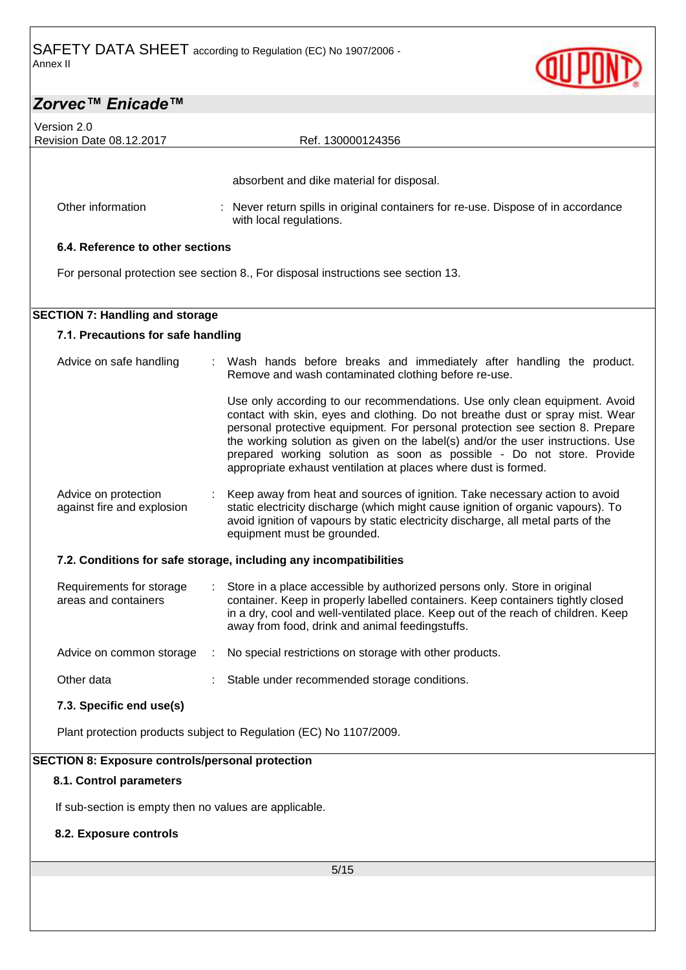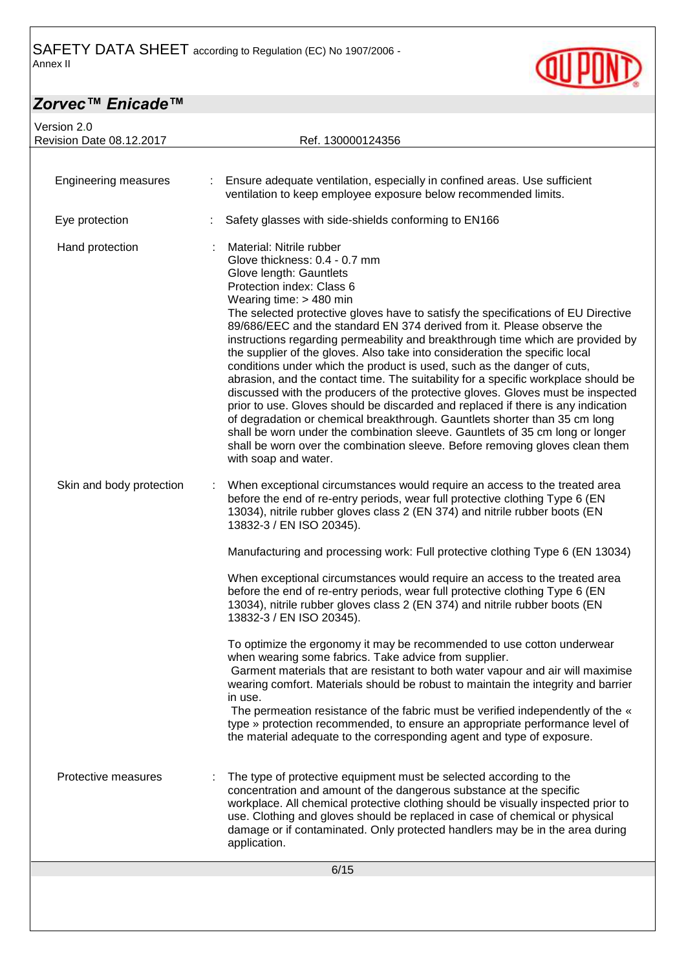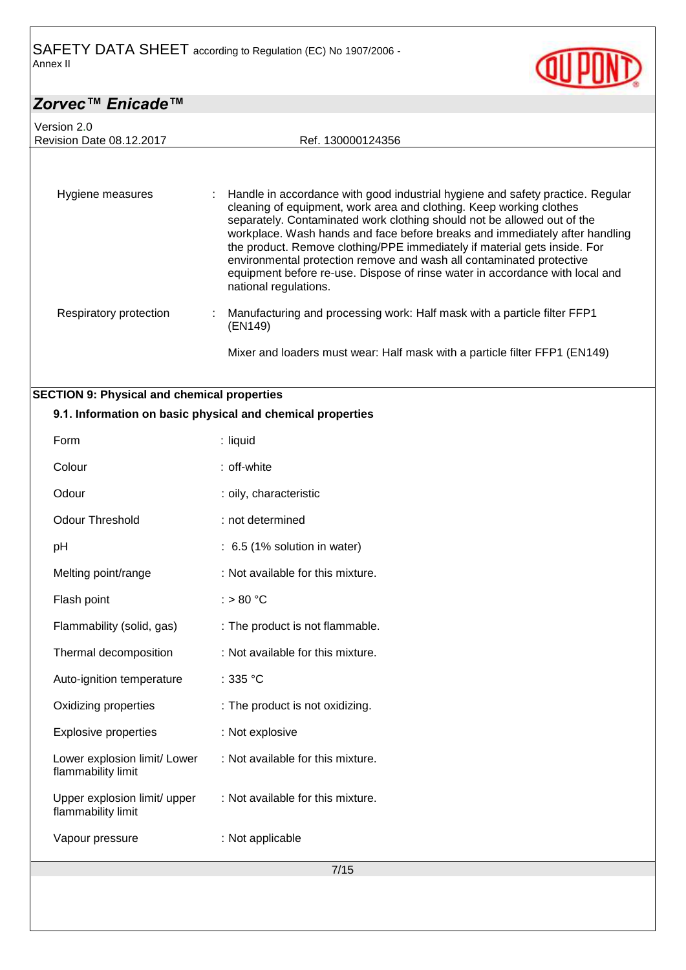Version 2.0

Revision Date 08.12.2017 Ref. 130000124356

Hygiene measures : Handle in accordance with good industrial hygiene and safety practice. Regular cleaning of equipment, work area and clothing. Keep working clothes separately. Contaminated work clothing should not be allowed out of the workplace. Wash hands and face before breaks and immediately after handling the product. Remove clothing/PPE immediately if material gets inside. For environmental protection remove and wash all contaminated protective equipment before re-use. Dispose of rinse water in accordance with local and national regulations. Respiratory protection : Manufacturing and processing work: Half mask with a particle filter FFP1 (EN149)

### Mixer and loaders must wear: Half mask with a particle filter FFP1 (EN149)

### **SECTION 9: Physical and chemical properties**

|                                                    | 9.1. Information on basic physical and chemical properties |  |
|----------------------------------------------------|------------------------------------------------------------|--|
| Form                                               | : liquid                                                   |  |
| Colour                                             | : off-white                                                |  |
| Odour                                              | : oily, characteristic                                     |  |
| <b>Odour Threshold</b>                             | : not determined                                           |  |
| pH                                                 | : 6.5 (1% solution in water)                               |  |
| Melting point/range                                | : Not available for this mixture.                          |  |
| Flash point                                        | : $> 80 °C$                                                |  |
| Flammability (solid, gas)                          | : The product is not flammable.                            |  |
| Thermal decomposition                              | : Not available for this mixture.                          |  |
| Auto-ignition temperature                          | : $335 °C$                                                 |  |
| Oxidizing properties                               | : The product is not oxidizing.                            |  |
| <b>Explosive properties</b>                        | : Not explosive                                            |  |
| Lower explosion limit/ Lower<br>flammability limit | : Not available for this mixture.                          |  |
| Upper explosion limit/ upper<br>flammability limit | : Not available for this mixture.                          |  |
| Vapour pressure                                    | : Not applicable                                           |  |
| 7/15                                               |                                                            |  |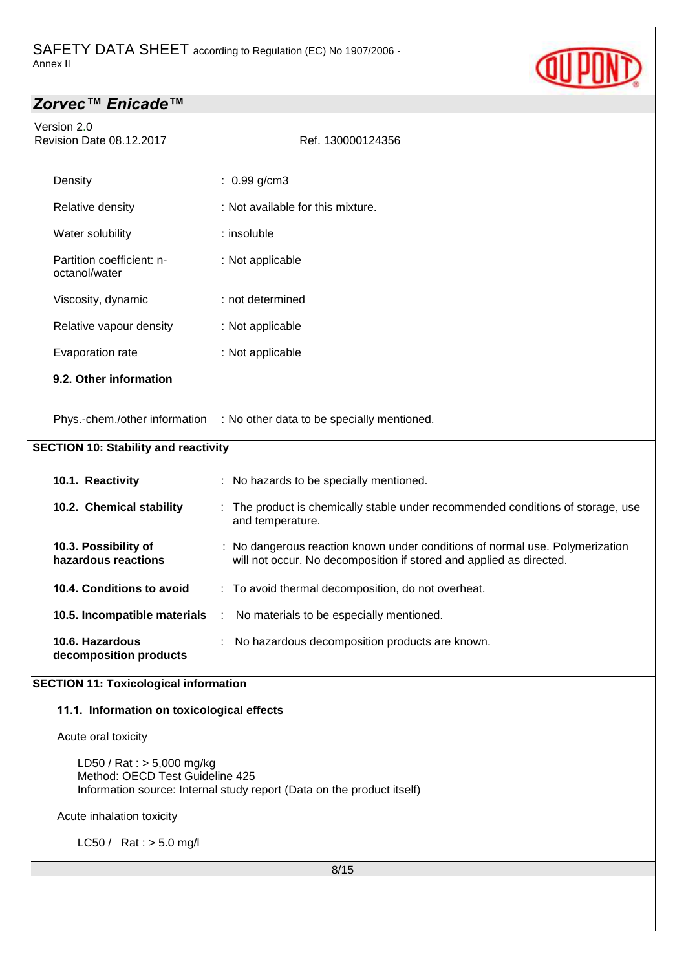

| Version 2.0<br>Revision Date 08.12.2017                       | Ref. 130000124356                                                                                                                                   |
|---------------------------------------------------------------|-----------------------------------------------------------------------------------------------------------------------------------------------------|
|                                                               |                                                                                                                                                     |
| Density                                                       | $: 0.99$ g/cm3                                                                                                                                      |
| Relative density                                              | : Not available for this mixture.                                                                                                                   |
| Water solubility                                              | : insoluble                                                                                                                                         |
| Partition coefficient: n-<br>octanol/water                    | : Not applicable                                                                                                                                    |
| Viscosity, dynamic                                            | : not determined                                                                                                                                    |
| Relative vapour density                                       | : Not applicable                                                                                                                                    |
| Evaporation rate                                              | : Not applicable                                                                                                                                    |
| 9.2. Other information                                        |                                                                                                                                                     |
|                                                               | Phys.-chem./other information : No other data to be specially mentioned.                                                                            |
| <b>SECTION 10: Stability and reactivity</b>                   |                                                                                                                                                     |
| 10.1. Reactivity                                              | : No hazards to be specially mentioned.                                                                                                             |
| 10.2. Chemical stability                                      | : The product is chemically stable under recommended conditions of storage, use<br>and temperature.                                                 |
| 10.3. Possibility of<br>hazardous reactions                   | : No dangerous reaction known under conditions of normal use. Polymerization<br>will not occur. No decomposition if stored and applied as directed. |
| 10.4. Conditions to avoid                                     | : To avoid thermal decomposition, do not overheat.                                                                                                  |
| 10.5. Incompatible materials                                  | : No materials to be especially mentioned.                                                                                                          |
| 10.6. Hazardous<br>decomposition products                     | No hazardous decomposition products are known.                                                                                                      |
| <b>SECTION 11: Toxicological information</b>                  |                                                                                                                                                     |
| 11.1. Information on toxicological effects                    |                                                                                                                                                     |
| Acute oral toxicity                                           |                                                                                                                                                     |
| LD50 / Rat : > 5,000 mg/kg<br>Method: OECD Test Guideline 425 | Information source: Internal study report (Data on the product itself)                                                                              |
| Acute inhalation toxicity                                     |                                                                                                                                                     |
| LC50 / Rat : $> 5.0$ mg/l                                     |                                                                                                                                                     |
|                                                               | 8/15                                                                                                                                                |
|                                                               |                                                                                                                                                     |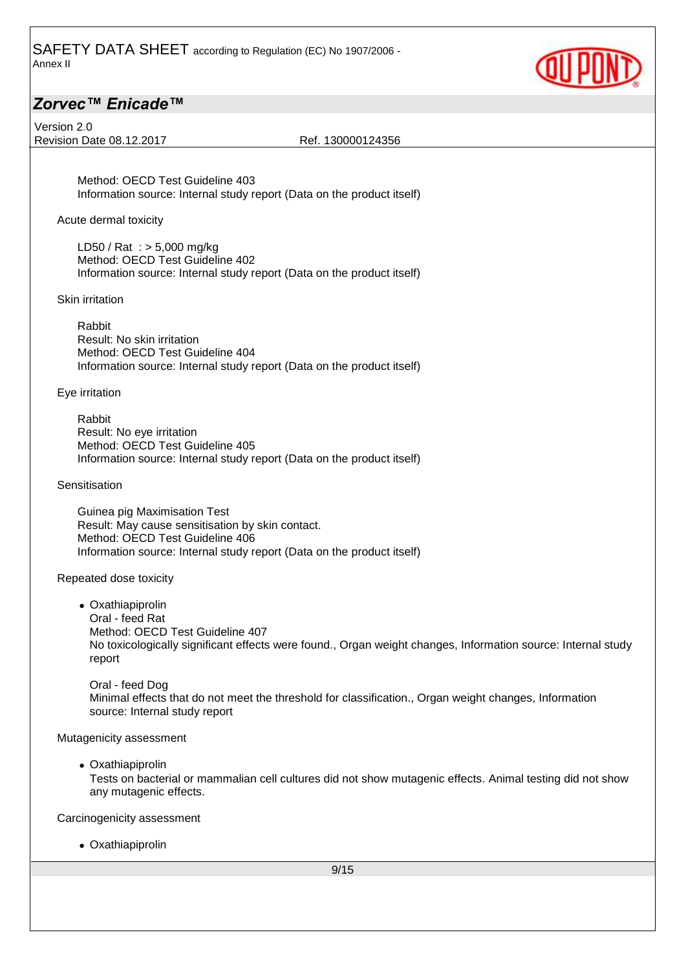

Version 2.0 Revision Date 08.12.2017 Ref. 130000124356

Method: OECD Test Guideline 403 Information source: Internal study report (Data on the product itself)

Acute dermal toxicity

LD50 / Rat : > 5,000 mg/kg Method: OECD Test Guideline 402 Information source: Internal study report (Data on the product itself)

Skin irritation

Rabbit Result: No skin irritation Method: OECD Test Guideline 404 Information source: Internal study report (Data on the product itself)

Eye irritation

Rabbit Result: No eye irritation Method: OECD Test Guideline 405 Information source: Internal study report (Data on the product itself)

**Sensitisation** 

Guinea pig Maximisation Test Result: May cause sensitisation by skin contact. Method: OECD Test Guideline 406 Information source: Internal study report (Data on the product itself)

Repeated dose toxicity

• Oxathiapiprolin Oral - feed Rat Method: OECD Test Guideline 407 No toxicologically significant effects were found., Organ weight changes, Information source: Internal study report

Oral - feed Dog Minimal effects that do not meet the threshold for classification., Organ weight changes, Information source: Internal study report

Mutagenicity assessment

• Oxathiapiprolin

Tests on bacterial or mammalian cell cultures did not show mutagenic effects. Animal testing did not show any mutagenic effects.

Carcinogenicity assessment

• Oxathiapiprolin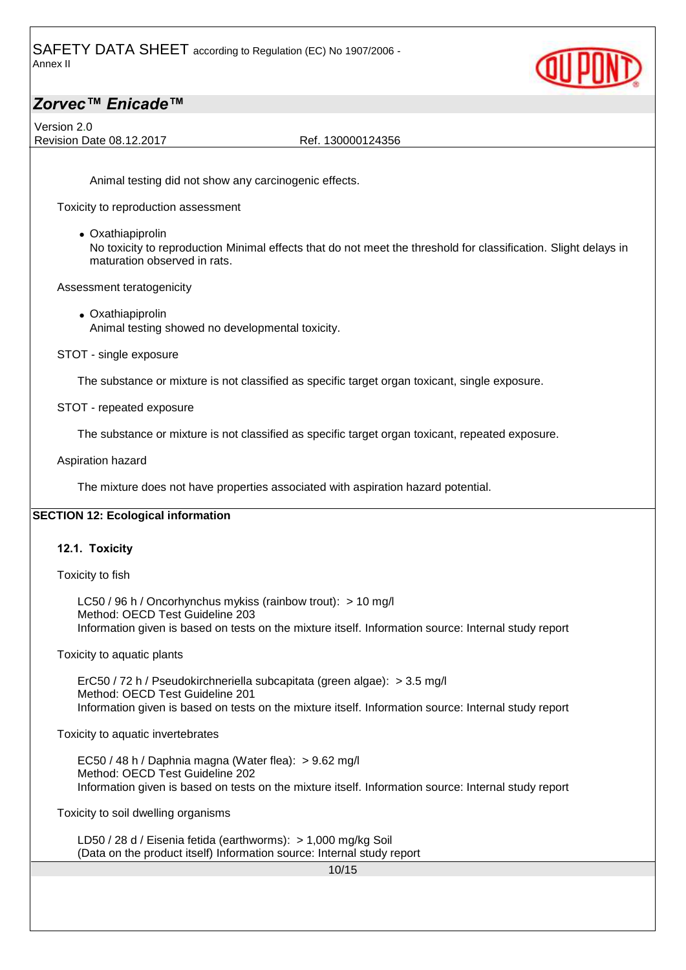

Version 2.0 Revision Date 08.12.2017 Ref. 130000124356

Animal testing did not show any carcinogenic effects.

Toxicity to reproduction assessment

• Oxathiapiprolin

No toxicity to reproduction Minimal effects that do not meet the threshold for classification. Slight delays in maturation observed in rats.

Assessment teratogenicity

- Oxathiapiprolin Animal testing showed no developmental toxicity.
- STOT single exposure

The substance or mixture is not classified as specific target organ toxicant, single exposure.

STOT - repeated exposure

The substance or mixture is not classified as specific target organ toxicant, repeated exposure.

Aspiration hazard

The mixture does not have properties associated with aspiration hazard potential.

### **SECTION 12: Ecological information**

### **12.1. Toxicity**

Toxicity to fish

LC50 / 96 h / Oncorhynchus mykiss (rainbow trout): > 10 mg/l Method: OECD Test Guideline 203 Information given is based on tests on the mixture itself. Information source: Internal study report

Toxicity to aquatic plants

ErC50 / 72 h / Pseudokirchneriella subcapitata (green algae): > 3.5 mg/l Method: OECD Test Guideline 201 Information given is based on tests on the mixture itself. Information source: Internal study report

Toxicity to aquatic invertebrates

EC50 / 48 h / Daphnia magna (Water flea): > 9.62 mg/l Method: OECD Test Guideline 202 Information given is based on tests on the mixture itself. Information source: Internal study report

Toxicity to soil dwelling organisms

LD50 / 28 d / Eisenia fetida (earthworms): > 1,000 mg/kg Soil (Data on the product itself) Information source: Internal study report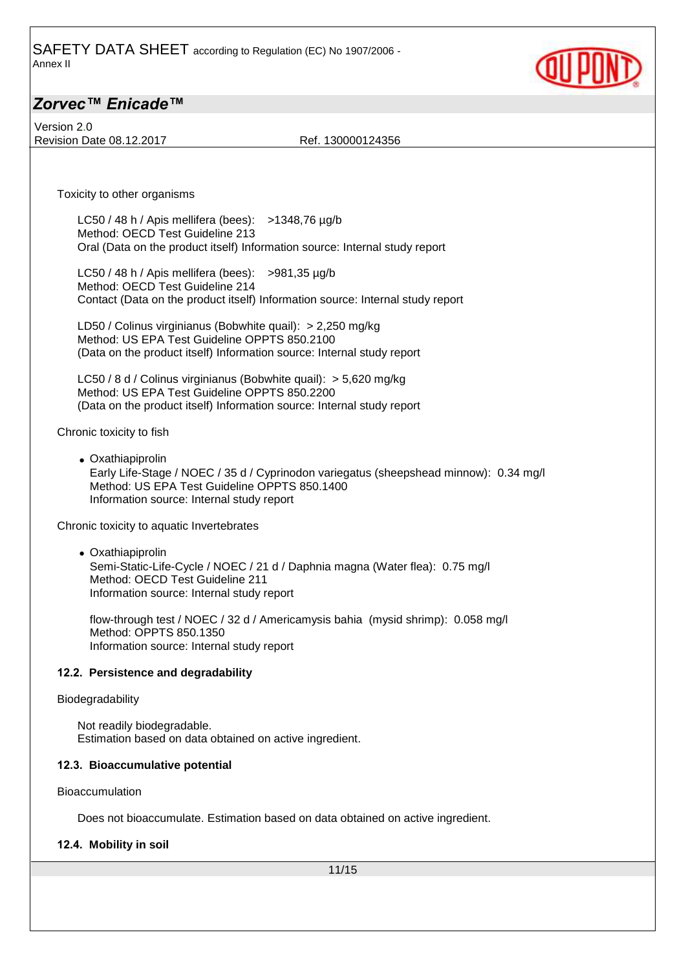

Version 2.0 Revision Date 08.12.2017 Ref. 130000124356

Toxicity to other organisms

LC50 / 48 h / Apis mellifera (bees): >1348,76 µg/b Method: OECD Test Guideline 213 Oral (Data on the product itself) Information source: Internal study report

LC50 / 48 h / Apis mellifera (bees):  $>981,35 \mu g/b$ Method: OECD Test Guideline 214 Contact (Data on the product itself) Information source: Internal study report

LD50 / Colinus virginianus (Bobwhite quail): > 2,250 mg/kg Method: US EPA Test Guideline OPPTS 850.2100 (Data on the product itself) Information source: Internal study report

LC50 / 8 d / Colinus virginianus (Bobwhite quail): > 5,620 mg/kg Method: US EPA Test Guideline OPPTS 850.2200 (Data on the product itself) Information source: Internal study report

Chronic toxicity to fish

• Oxathiapiprolin Early Life-Stage / NOEC / 35 d / Cyprinodon variegatus (sheepshead minnow): 0.34 mg/l Method: US EPA Test Guideline OPPTS 850.1400 Information source: Internal study report

Chronic toxicity to aquatic Invertebrates

• Oxathiapiprolin Semi-Static-Life-Cycle / NOEC / 21 d / Daphnia magna (Water flea): 0.75 mg/l Method: OECD Test Guideline 211 Information source: Internal study report

flow-through test / NOEC / 32 d / Americamysis bahia (mysid shrimp): 0.058 mg/l Method: OPPTS 850.1350 Information source: Internal study report

#### **12.2. Persistence and degradability**

#### Biodegradability

Not readily biodegradable. Estimation based on data obtained on active ingredient.

#### **12.3. Bioaccumulative potential**

Bioaccumulation

Does not bioaccumulate. Estimation based on data obtained on active ingredient.

#### **12.4. Mobility in soil**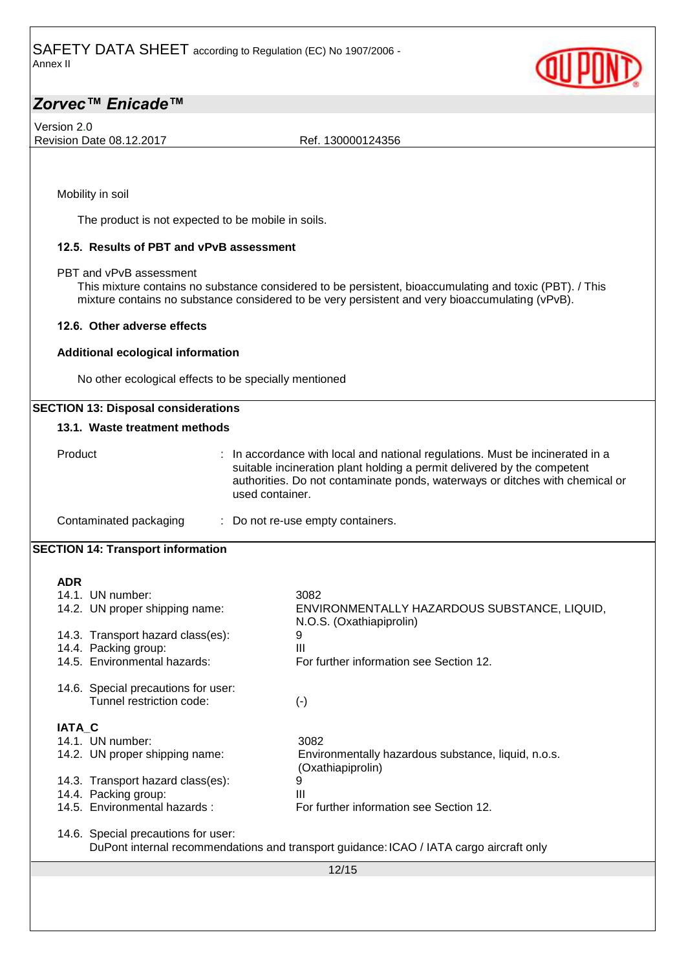

Version 2.0 Revision Date 08.12.2017 Ref. 130000124356

Mobility in soil

The product is not expected to be mobile in soils.

### **12.5. Results of PBT and vPvB assessment**

PBT and vPvB assessment

This mixture contains no substance considered to be persistent, bioaccumulating and toxic (PBT). / This mixture contains no substance considered to be very persistent and very bioaccumulating (vPvB).

#### **12.6. Other adverse effects**

#### **Additional ecological information**

No other ecological effects to be specially mentioned

### **SECTION 13: Disposal considerations**

### **13.1. Waste treatment methods**

| Product                | : In accordance with local and national regulations. Must be incinerated in a<br>suitable incineration plant holding a permit delivered by the competent<br>authorities. Do not contaminate ponds, waterways or ditches with chemical or<br>used container. |
|------------------------|-------------------------------------------------------------------------------------------------------------------------------------------------------------------------------------------------------------------------------------------------------------|
| Contaminated packaging | : Do not re-use empty containers.                                                                                                                                                                                                                           |

### **SECTION 14: Transport information**

| <b>ADR</b>                          |                                                                                         |
|-------------------------------------|-----------------------------------------------------------------------------------------|
| 14.1. UN number:                    | 3082                                                                                    |
| 14.2. UN proper shipping name:      | ENVIRONMENTALLY HAZARDOUS SUBSTANCE, LIQUID,<br>N.O.S. (Oxathiapiprolin)                |
| 14.3. Transport hazard class(es):   | 9                                                                                       |
| 14.4. Packing group:                | Ш                                                                                       |
| 14.5. Environmental hazards:        | For further information see Section 12.                                                 |
| 14.6. Special precautions for user: |                                                                                         |
| Tunnel restriction code:            | $(\cdot)$                                                                               |
| <b>IATA C</b>                       |                                                                                         |
| 14.1. UN number:                    | 3082                                                                                    |
| 14.2. UN proper shipping name:      | Environmentally hazardous substance, liquid, n.o.s.<br>(Oxathiapiprolin)                |
| 14.3. Transport hazard class(es):   | 9                                                                                       |
| 14.4. Packing group:                | Ш                                                                                       |
| 14.5. Environmental hazards:        | For further information see Section 12.                                                 |
| 14.6. Special precautions for user: |                                                                                         |
|                                     | DuPont internal recommendations and transport guidance: ICAO / IATA cargo aircraft only |
|                                     | 12/15                                                                                   |
|                                     |                                                                                         |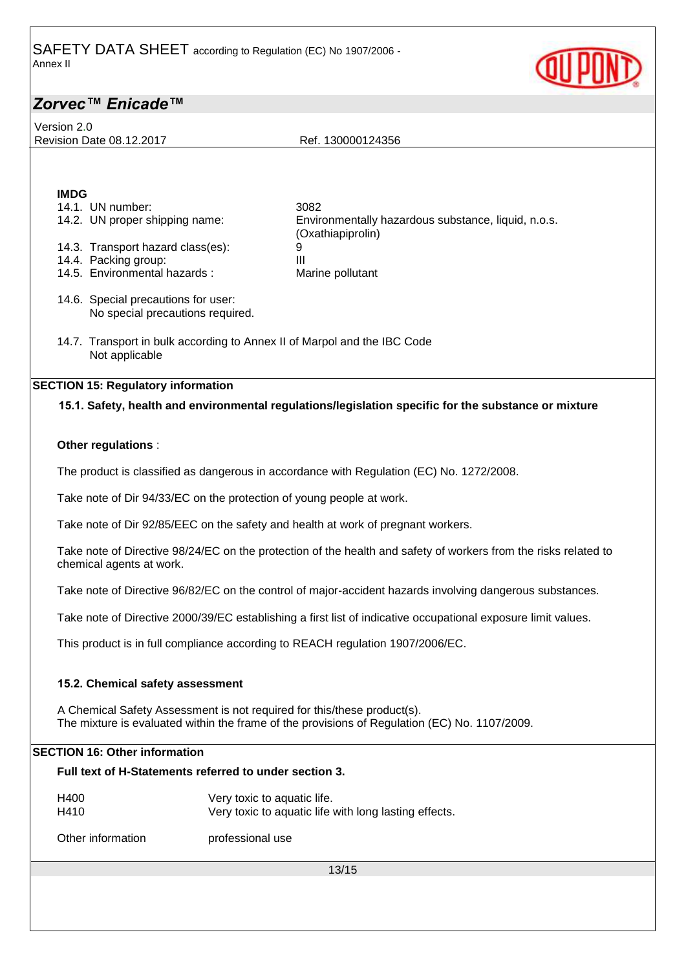Version 2.0

Revision Date 08.12.2017 Ref. 130000124356

# **IMDG**

| 14.1. UN number:                                                                           | 3082                                                                                                 |
|--------------------------------------------------------------------------------------------|------------------------------------------------------------------------------------------------------|
| 14.2. UN proper shipping name:                                                             | Environmentally hazardous substance, liquid, n.o.s.<br>(Oxathiapiprolin)                             |
| 14.3. Transport hazard class(es):                                                          | 9                                                                                                    |
| 14.4. Packing group:                                                                       | Ш                                                                                                    |
| 14.5. Environmental hazards:                                                               | Marine pollutant                                                                                     |
| 14.6. Special precautions for user:<br>No special precautions required.                    |                                                                                                      |
| 14.7. Transport in bulk according to Annex II of Marpol and the IBC Code<br>Not applicable |                                                                                                      |
| <b>SECTION 15: Regulatory information</b>                                                  |                                                                                                      |
|                                                                                            | 15.1. Safety, health and environmental regulations/legislation specific for the substance or mixture |
|                                                                                            |                                                                                                      |
| Other regulations :                                                                        |                                                                                                      |
|                                                                                            |                                                                                                      |

The product is classified as dangerous in accordance with Regulation (EC) No. 1272/2008.

Take note of Dir 94/33/EC on the protection of young people at work.

Take note of Dir 92/85/EEC on the safety and health at work of pregnant workers.

Take note of Directive 98/24/EC on the protection of the health and safety of workers from the risks related to chemical agents at work.

Take note of Directive 96/82/EC on the control of major-accident hazards involving dangerous substances.

Take note of Directive 2000/39/EC establishing a first list of indicative occupational exposure limit values.

This product is in full compliance according to REACH regulation 1907/2006/EC.

### **15.2. Chemical safety assessment**

A Chemical Safety Assessment is not required for this/these product(s). The mixture is evaluated within the frame of the provisions of Regulation (EC) No. 1107/2009.

### **SECTION 16: Other information**

| Full text of H-Statements referred to under section 3. |  |
|--------------------------------------------------------|--|
|--------------------------------------------------------|--|

| H400 | Very toxic to aquatic life.                           |
|------|-------------------------------------------------------|
| H410 | Very toxic to aquatic life with long lasting effects. |

Other information **professional use**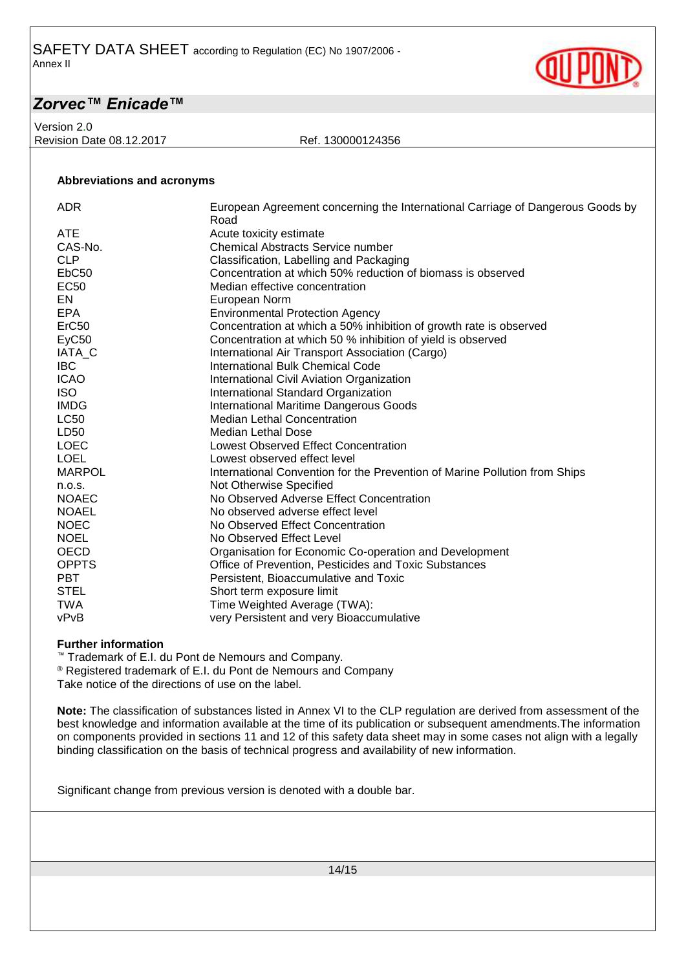**Abbreviations and acronyms**

Version 2.0 Revision Date 08.12.2017 Ref. 130000124356

| <b>ADR</b>        | European Agreement concerning the International Carriage of Dangerous Goods by |
|-------------------|--------------------------------------------------------------------------------|
|                   | Road                                                                           |
| <b>ATE</b>        | Acute toxicity estimate                                                        |
| CAS-No.           | <b>Chemical Abstracts Service number</b>                                       |
| <b>CLP</b>        | Classification, Labelling and Packaging                                        |
| EbC <sub>50</sub> | Concentration at which 50% reduction of biomass is observed                    |
| <b>EC50</b>       | Median effective concentration                                                 |
| EN                | European Norm                                                                  |
| <b>EPA</b>        | <b>Environmental Protection Agency</b>                                         |
| ErC50             | Concentration at which a 50% inhibition of growth rate is observed             |
| EyC50             | Concentration at which 50 % inhibition of yield is observed                    |
| IATA_C            | International Air Transport Association (Cargo)                                |
| <b>IBC</b>        | International Bulk Chemical Code                                               |
| <b>ICAO</b>       | International Civil Aviation Organization                                      |
| <b>ISO</b>        | International Standard Organization                                            |
| <b>IMDG</b>       | International Maritime Dangerous Goods                                         |
| <b>LC50</b>       | <b>Median Lethal Concentration</b>                                             |
| LD50              | Median Lethal Dose                                                             |
| <b>LOEC</b>       | <b>Lowest Observed Effect Concentration</b>                                    |
| <b>LOEL</b>       | Lowest observed effect level                                                   |
| <b>MARPOL</b>     | International Convention for the Prevention of Marine Pollution from Ships     |
| n.o.s.            | Not Otherwise Specified                                                        |
| <b>NOAEC</b>      | No Observed Adverse Effect Concentration                                       |
| <b>NOAEL</b>      | No observed adverse effect level                                               |
| <b>NOEC</b>       | No Observed Effect Concentration                                               |
| <b>NOEL</b>       | No Observed Effect Level                                                       |
| <b>OECD</b>       | Organisation for Economic Co-operation and Development                         |
| <b>OPPTS</b>      | Office of Prevention, Pesticides and Toxic Substances                          |
| <b>PBT</b>        | Persistent, Bioaccumulative and Toxic                                          |
| <b>STEL</b>       | Short term exposure limit                                                      |
| <b>TWA</b>        | Time Weighted Average (TWA):                                                   |
| vPvB              | very Persistent and very Bioaccumulative                                       |
|                   |                                                                                |

#### **Further information**

™ Trademark of E.I. du Pont de Nemours and Company.

® Registered trademark of E.I. du Pont de Nemours and Company

Take notice of the directions of use on the label.

**Note:** The classification of substances listed in Annex VI to the CLP regulation are derived from assessment of the best knowledge and information available at the time of its publication or subsequent amendments.The information on components provided in sections 11 and 12 of this safety data sheet may in some cases not align with a legally binding classification on the basis of technical progress and availability of new information.

Significant change from previous version is denoted with a double bar.